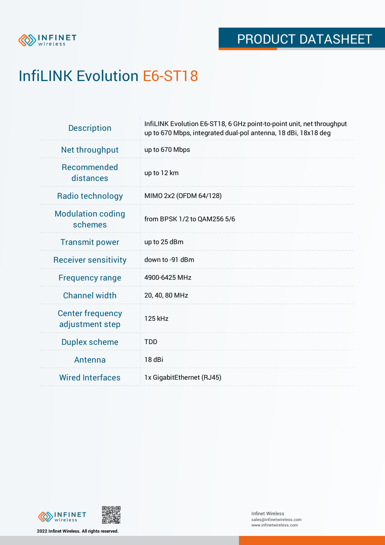

# InfiLINK Evolution E6-ST18

| <b>Description</b>                         | InfiLINK Evolution E6-ST18, 6 GHz point-to-point unit, net throughput<br>up to 670 Mbps, integrated dual-pol antenna, 18 dBi, 18x18 deg |  |  |  |
|--------------------------------------------|-----------------------------------------------------------------------------------------------------------------------------------------|--|--|--|
| Net throughput                             | up to 670 Mbps                                                                                                                          |  |  |  |
| <b>Recommended</b><br>distances            | up to 12 km                                                                                                                             |  |  |  |
| Radio technology                           | MIMO 2x2 (OFDM 64/128)                                                                                                                  |  |  |  |
| <b>Modulation coding</b><br>schemes        | from BPSK 1/2 to QAM256 5/6                                                                                                             |  |  |  |
| <b>Transmit power</b>                      | up to 25 dBm                                                                                                                            |  |  |  |
| <b>Receiver sensitivity</b>                | down to -91 dBm                                                                                                                         |  |  |  |
| <b>Frequency range</b>                     | 4900-6425 MHz                                                                                                                           |  |  |  |
| <b>Channel width</b>                       | 20, 40, 80 MHz                                                                                                                          |  |  |  |
| <b>Center frequency</b><br>adjustment step | 125 kHz                                                                                                                                 |  |  |  |
| <b>Duplex scheme</b>                       | <b>TDD</b>                                                                                                                              |  |  |  |
| Antenna                                    | 18 dBi                                                                                                                                  |  |  |  |
| <b>Wired Interfaces</b>                    | 1x GigabitEthernet (RJ45)                                                                                                               |  |  |  |



**2022 Infinet Wireless. All rights reserved.**

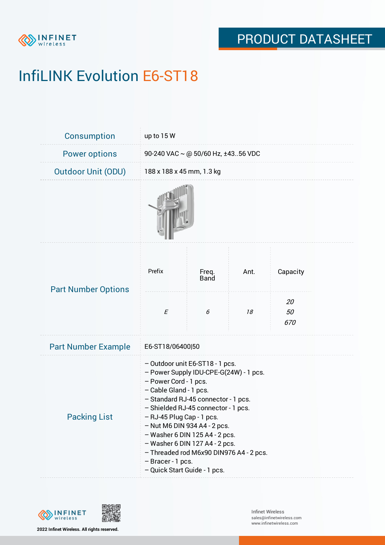

# InfiLINK Evolution E6-ST18

| <b>Consumption</b>         | up to 15 W                                                                                                                                                                                                                                                                                                                                                                                                                                      |                      |      |                 |  |  |
|----------------------------|-------------------------------------------------------------------------------------------------------------------------------------------------------------------------------------------------------------------------------------------------------------------------------------------------------------------------------------------------------------------------------------------------------------------------------------------------|----------------------|------|-----------------|--|--|
| <b>Power options</b>       | 90-240 VAC $\sim$ @ 50/60 Hz, ±4356 VDC                                                                                                                                                                                                                                                                                                                                                                                                         |                      |      |                 |  |  |
| <b>Outdoor Unit (ODU)</b>  | 188 x 188 x 45 mm, 1.3 kg                                                                                                                                                                                                                                                                                                                                                                                                                       |                      |      |                 |  |  |
|                            |                                                                                                                                                                                                                                                                                                                                                                                                                                                 |                      |      |                 |  |  |
| <b>Part Number Options</b> | Prefix                                                                                                                                                                                                                                                                                                                                                                                                                                          | Freq.<br><b>Band</b> | Ant. | Capacity        |  |  |
|                            | $\cal E$                                                                                                                                                                                                                                                                                                                                                                                                                                        | 6                    | 18   | 20<br>50<br>670 |  |  |
| <b>Part Number Example</b> | E6-ST18/06400 50                                                                                                                                                                                                                                                                                                                                                                                                                                |                      |      |                 |  |  |
| <b>Packing List</b>        | - Outdoor unit E6-ST18 - 1 pcs.<br>- Power Supply IDU-CPE-G(24W) - 1 pcs.<br>- Power Cord - 1 pcs.<br>- Cable Gland - 1 pcs.<br>- Standard RJ-45 connector - 1 pcs.<br>- Shielded RJ-45 connector - 1 pcs.<br>- RJ-45 Plug Cap - 1 pcs.<br>$-$ Nut M6 DIN 934 A4 - 2 pcs.<br>- Washer 6 DIN 125 A4 - 2 pcs.<br>$-$ Washer 6 DIN 127 A4 - 2 pcs.<br>- Threaded rod M6x90 DIN976 A4 - 2 pcs.<br>- Bracer - 1 pcs.<br>- Quick Start Guide - 1 pcs. |                      |      |                 |  |  |

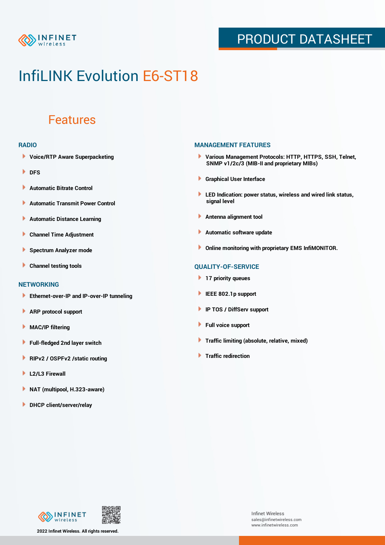

### PRODUCT DATASHEET

## InfiLINK Evolution E6-ST18

### Features

#### **RADIO**

- **Voice/RTP Aware Superpacketing**
- **DFS**
- **Automatic Bitrate Control** Þ
- Þ **Automatic Transmit Power Control**
- Þ **Automatic Distance Learning**
- Þ **Channel Time Adjustment**
- Þ **Spectrum Analyzer mode**
- Þ **Channel testing tools**

### **NETWORKING**

- **Ethernet-over-IP and IP-over-IP tunneling**
- Þ **ARP protocol support**
- **MAC/IP filtering** Þ
- **Full-fledged 2nd layer switch**
- Þ **RIPv2 / OSPFv2 /static routing**
- ٠ **L2/L3 Firewall**
- × **NAT (multipool, H.323-aware)**
- **DHCP client/server/relay**

#### **MANAGEMENT FEATURES**

- **Various Management Protocols: HTTP, HTTPS, SSH, Telnet, SNMP v1/2c/3 (MIB-II and proprietary MIBs)**
- **Graphical User Interface**
- **LED Indication: power status, wireless and wired link status, signal level**
- **Antenna alignment tool**
- ٠ **Automatic software update**
- **Online monitoring with proprietary EMS InfiMONITOR.**

### **QUALITY-OF-SERVICE**

- **17 priority queues**
- **IEEE 802.1p support**
- **IP TOS / DiffServ support**
- ٠ **Full voice support**
- **Traffic limiting (absolute, relative, mixed)** ٠
- **Traffic redirection**



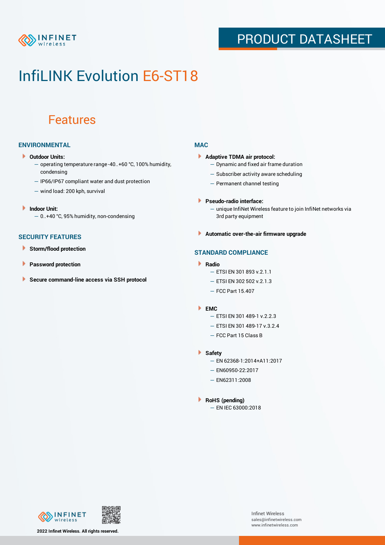

### PRODUCT DATASHEET

## InfiLINK Evolution E6-ST18

### Features

### **ENVIRONMENTAL**

- **Outdoor Units:**
	- operating temperature range -40..+60 °C, 100% humidity, condensing
	- IP66/IP67 compliant water and dust protection
	- wind load: 200 kph, survival
- ¥ **Indoor Unit:**
	- 0..+40 °C, 95% humidity, non-condensing

#### **SECURITY FEATURES**

- Þ **Storm/flood protection**
- Þ **Password protection**
- Þ **Secure command-line access via SSH protocol**

### **MAC**

- **Adaptive TDMA air protocol:**
	- Dynamic and fixed air frame duration
	- Subscriber activity aware scheduling
	- Permanent channel testing
- **Pseudo-radio interface:**
	- unique InfiNet Wireless feature to join InfiNet networks via 3rd party equipment
- **Automatic over-the-air firmware upgrade**

### **STANDARD COMPLIANCE**

- **Radio**
	- ETSI EN 301 893 v.2.1.1
	- ETSI EN 302 502 v.2.1.3
	- FCC Part 15.407

#### **EMC**

- ETSI EN 301 489-1 v.2.2.3
- ETSI EN 301 489-17 v.3.2.4
- FCC Part 15 Class B
- **Safety**
	- EN 62368-1:2014+A11:2017
	- EN60950-22:2017
	- EN62311:2008
- **RoHS (pending)**
	- EN IEC 63000:2018